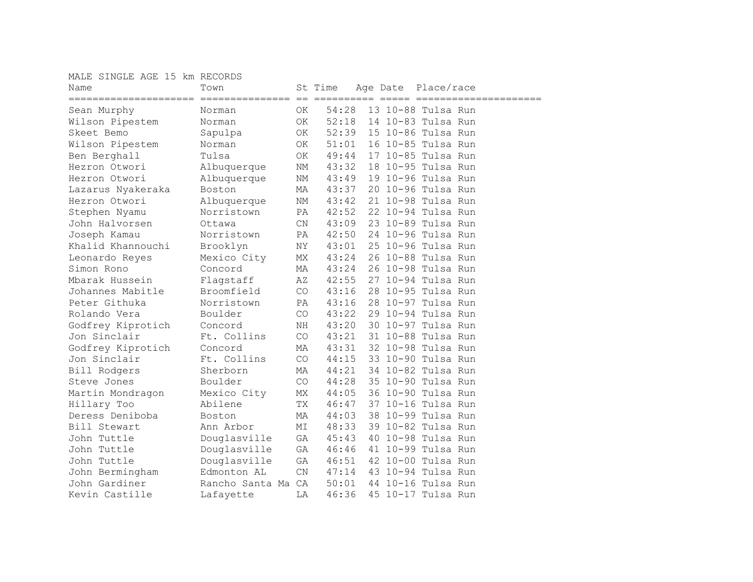## MALE SINGLE AGE 15 km RECORDS

| $==$<br>$=$ $=$ $=$ $=$ $=$ $=$ $=$<br>===============<br>=====================<br>54:28<br>13 10-88 Tulsa Run<br>0K<br>Sean Murphy<br>Norman<br>52:18<br>Wilson Pipestem<br>14 10-83 Tulsa Run<br>ΟK<br>Norman<br>52:39<br>Skeet Bemo<br>15 10-86 Tulsa Run<br>OK<br>Sapulpa<br>51:01<br>16 10-85 Tulsa Run<br>Wilson Pipestem<br>OK<br>Norman<br>17 10-85 Tulsa Run<br>Ben Berghall<br>Tulsa<br>OK<br>49:44<br>Hezron Otwori<br>43:32<br>18 10-95 Tulsa Run<br>NM |
|---------------------------------------------------------------------------------------------------------------------------------------------------------------------------------------------------------------------------------------------------------------------------------------------------------------------------------------------------------------------------------------------------------------------------------------------------------------------|
|                                                                                                                                                                                                                                                                                                                                                                                                                                                                     |
|                                                                                                                                                                                                                                                                                                                                                                                                                                                                     |
|                                                                                                                                                                                                                                                                                                                                                                                                                                                                     |
|                                                                                                                                                                                                                                                                                                                                                                                                                                                                     |
|                                                                                                                                                                                                                                                                                                                                                                                                                                                                     |
|                                                                                                                                                                                                                                                                                                                                                                                                                                                                     |
| Albuquerque<br>19 10-96 Tulsa Run<br>43:49<br>Hezron Otwori<br>Albuquerque<br>NΜ                                                                                                                                                                                                                                                                                                                                                                                    |
| 20 10-96 Tulsa Run<br>43:37<br>Lazarus Nyakeraka<br>Boston<br>МA                                                                                                                                                                                                                                                                                                                                                                                                    |
| 21 10-98 Tulsa Run<br>ΝM<br>43:42<br>Hezron Otwori<br>Albuquerque                                                                                                                                                                                                                                                                                                                                                                                                   |
| 42:52<br>22 10-94 Tulsa Run<br>Norristown<br>PA<br>Stephen Nyamu                                                                                                                                                                                                                                                                                                                                                                                                    |
| 43:09<br>23 10-89 Tulsa Run<br>John Halvorsen<br>Ottawa<br>$\mathcal{C}N$                                                                                                                                                                                                                                                                                                                                                                                           |
| PA<br>42:50<br>24 10-96 Tulsa Run<br>Joseph Kamau<br>Norristown                                                                                                                                                                                                                                                                                                                                                                                                     |
| NΥ<br>43:01<br>25 10-96 Tulsa Run<br>Khalid Khannouchi<br>Brooklyn                                                                                                                                                                                                                                                                                                                                                                                                  |
| 26 10-88 Tulsa Run<br>Mexico City<br>МX<br>43:24<br>Leonardo Reyes                                                                                                                                                                                                                                                                                                                                                                                                  |
| 43:24<br>Concord<br>МA<br>26 10-98 Tulsa Run<br>Simon Rono                                                                                                                                                                                                                                                                                                                                                                                                          |
| 27 10-94 Tulsa Run<br>Mbarak Hussein<br>Flagstaff<br>ΑZ<br>42:55                                                                                                                                                                                                                                                                                                                                                                                                    |
| CO<br>43:16<br>28 10-95 Tulsa Run<br>Johannes Mabitle<br>Broomfield                                                                                                                                                                                                                                                                                                                                                                                                 |
| 43:16<br>Peter Githuka<br>Norristown<br>PA<br>28 10-97 Tulsa Run                                                                                                                                                                                                                                                                                                                                                                                                    |
| CO<br>43:22<br>29 10-94 Tulsa Run<br>Rolando Vera<br>Boulder                                                                                                                                                                                                                                                                                                                                                                                                        |
| 43:20<br>Godfrey Kiprotich<br>NH<br>30 10-97 Tulsa Run<br>Concord                                                                                                                                                                                                                                                                                                                                                                                                   |
| Jon Sinclair<br>CO<br>43:21<br>31 10-88 Tulsa Run<br>Ft. Collins                                                                                                                                                                                                                                                                                                                                                                                                    |
| 43:31<br>32 10-98 Tulsa Run<br>Godfrey Kiprotich<br>MA<br>Concord                                                                                                                                                                                                                                                                                                                                                                                                   |
| Jon Sinclair<br>CO<br>44:15<br>33 10-90 Tulsa Run<br>Ft. Collins                                                                                                                                                                                                                                                                                                                                                                                                    |
| Bill Rodgers<br>44:21<br>34 10-82 Tulsa Run<br>Sherborn<br>MA                                                                                                                                                                                                                                                                                                                                                                                                       |
| 44:28<br>35 10-90 Tulsa Run<br>Steve Jones<br>Boulder<br>CO                                                                                                                                                                                                                                                                                                                                                                                                         |
| Martin Mondragon<br>Mexico City<br>МX<br>44:05<br>36 10-90 Tulsa Run                                                                                                                                                                                                                                                                                                                                                                                                |
| TX<br>46:47<br>Hillary Too<br>Abilene<br>37 10-16 Tulsa Run                                                                                                                                                                                                                                                                                                                                                                                                         |
| Deress Deniboba<br>44:03<br>38 10-99 Tulsa Run<br>MA<br>Boston                                                                                                                                                                                                                                                                                                                                                                                                      |
| 48:33<br>39 10-82 Tulsa Run<br>Bill Stewart<br>Ann Arbor<br>MΙ                                                                                                                                                                                                                                                                                                                                                                                                      |
| 40 10-98 Tulsa Run<br>John Tuttle<br>Douglasville<br>GA<br>45:43                                                                                                                                                                                                                                                                                                                                                                                                    |
| Douglasville<br>46:46<br>41 10-99 Tulsa Run<br>John Tuttle<br>GA                                                                                                                                                                                                                                                                                                                                                                                                    |
| Douglasville<br>46:51<br>42 10-00 Tulsa Run<br>John Tuttle<br>GA                                                                                                                                                                                                                                                                                                                                                                                                    |
| CN<br>47:14<br>43 10-94 Tulsa Run<br>John Bermingham<br>Edmonton AL                                                                                                                                                                                                                                                                                                                                                                                                 |
| John Gardiner<br>50:01<br>44 10-16 Tulsa Run<br>Rancho Santa Ma<br>CA                                                                                                                                                                                                                                                                                                                                                                                               |
| Kevin Castille<br>46:36<br>45 10-17 Tulsa Run<br>Lafayette<br>LΑ                                                                                                                                                                                                                                                                                                                                                                                                    |